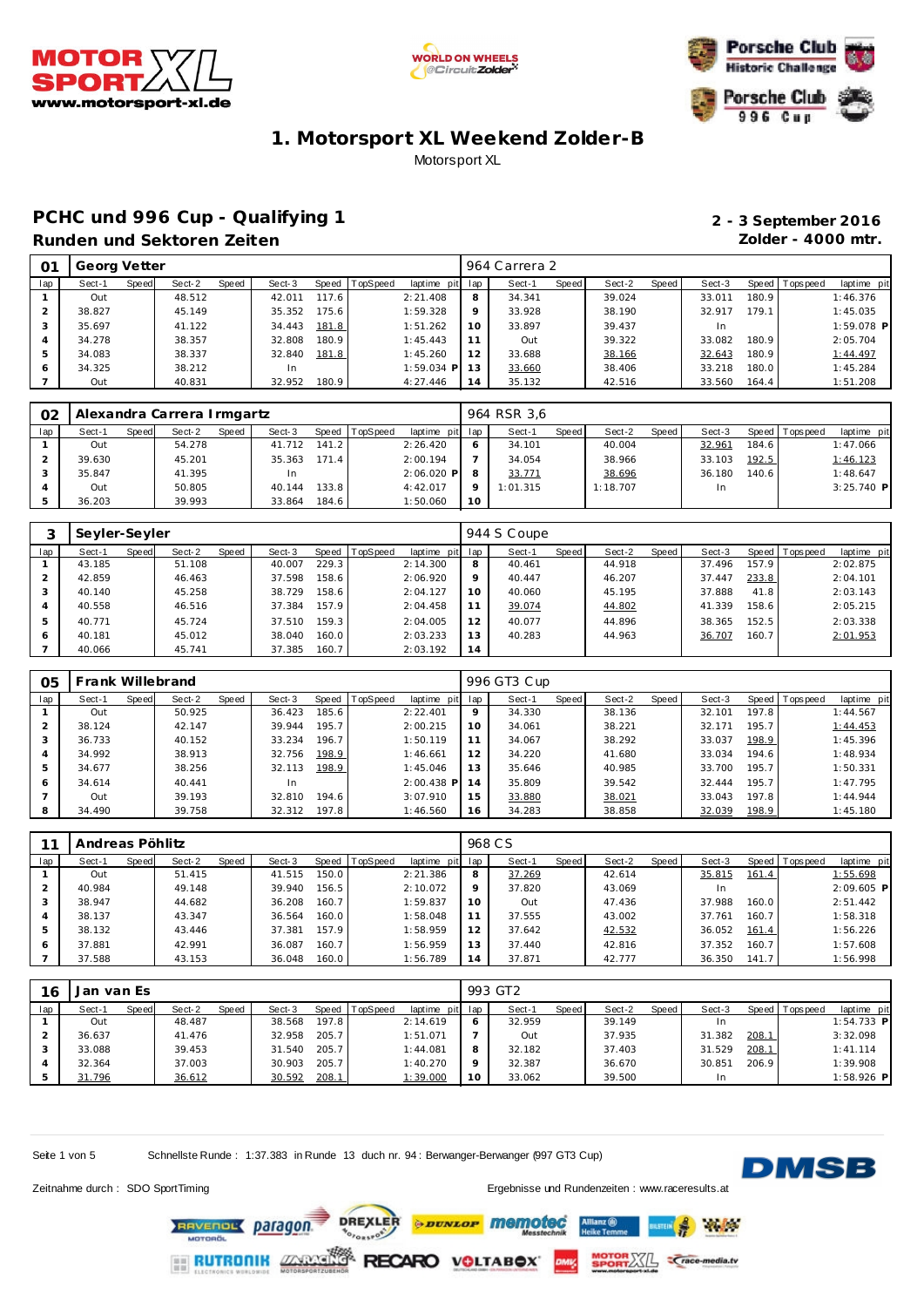





### PCHC und 996 Cup - Qualifying 1 **2 - 3 September 2016 Runden und Sektoren Zeiten Zolder - 4000 mtr.**

| O <sub>1</sub> | Georg Vetter |       |        |       |        |       |                |                 |                | 964 Carrera 2 |       |        |       |        |       |                |              |
|----------------|--------------|-------|--------|-------|--------|-------|----------------|-----------------|----------------|---------------|-------|--------|-------|--------|-------|----------------|--------------|
| lap            | Sect-1       | Speed | Sect-2 | Speed | Sect-3 |       | Speed TopSpeed | laptime pit lap |                | Sect-1        | Speed | Sect-2 | Speed | Sect-3 |       | Speed Topspeed | laptime pit  |
|                | Out          |       | 48.512 |       | 42.011 | 117.6 |                | 2:21.408        |                | 34.341        |       | 39.024 |       | 33.011 | 180.9 |                | 1:46.376     |
|                | 38.827       |       | 45.149 |       | 35.352 | 175.6 |                | 1:59.328        |                | 33.928        |       | 38.190 |       | 32.917 | 179.1 |                | 1:45.035     |
|                | 35.697       |       | 41.122 |       | 34.443 | 181.8 |                | 1:51.262        | 10             | 33.897        |       | 39.437 |       | In.    |       |                | $1:59.078$ P |
|                | 34.278       |       | 38.357 |       | 32.808 | 180.9 |                | 1:45.443        |                | Out           |       | 39.322 |       | 33.082 | 180.9 |                | 2:05.704     |
|                | 34.083       |       | 38.337 |       | 32.840 | 181.8 |                | 1:45.260        | 12             | 33.688        |       | 38.166 |       | 32.643 | 180.9 |                | 1:44.497     |
| 6              | 34.325       |       | 38.212 |       | In.    |       |                | $1:59.034$ P    | 13             | 33.660        |       | 38.406 |       | 33.218 | 180.0 |                | 1:45.284     |
|                | Out          |       | 40.831 |       | 32.952 | 180.9 |                | 4:27.446        | $\overline{4}$ | 35.132        |       | 42.516 |       | 33.560 | 164.4 |                | 1:51.208     |

| O <sub>2</sub> |        |       | Alexandra Carrera Irmgartz |       |        |       |                |                 |    | 964 RSR 3.6 |       |          |       |        |       |                   |              |
|----------------|--------|-------|----------------------------|-------|--------|-------|----------------|-----------------|----|-------------|-------|----------|-------|--------|-------|-------------------|--------------|
| lap            | Sect-1 | Speed | Sect-2                     | Speed | Sect-3 |       | Speed TopSpeed | laptime pit lap |    | Sect-1      | Speed | Sect-2   | Speed | Sect-3 |       | Speed   Tops peed | laptime pit  |
|                | Out    |       | 54.278                     |       | 41.712 | 141.2 |                | 2:26.420        |    | 34.101      |       | 40.004   |       | 32.961 | 184.6 |                   | 1:47.066     |
|                | 39.630 |       | 45.201                     |       | 35.363 | 171.4 |                | 2:00.194        |    | 34.054      |       | 38.966   |       | 33.103 | 192.5 |                   | 1:46.123     |
|                | 35.847 |       | 41.395                     |       | In     |       |                | $2:06.020$ P    |    | 33.771      |       | 38.696   |       | 36.180 | 140.6 |                   | 1:48.647     |
|                | Out    |       | 50.805                     |       | 40.144 | 133.8 |                | 4:42.017        |    | 1:01.315    |       | 1:18.707 |       | In.    |       |                   | $3:25.740$ P |
|                | 36.203 |       | 39.993                     |       | 33.864 | 184.6 |                | 1:50.060        | 10 |             |       |          |       |        |       |                   |              |

|     | Seyler-Seyler |       |        |       |        |       |                |                 |         | 944 S Coupe |       |        |       |        |       |                 |             |
|-----|---------------|-------|--------|-------|--------|-------|----------------|-----------------|---------|-------------|-------|--------|-------|--------|-------|-----------------|-------------|
| lap | Sect-1        | Speed | Sect-2 | Speed | Sect-3 |       | Speed TopSpeed | laptime pit lap |         | Sect-1      | Speed | Sect-2 | Speed | Sect-3 |       | Speed Tops peed | laptime pit |
|     | 43.185        |       | 51.108 |       | 40.007 | 229.3 |                | 2:14.300        | 8       | 40.461      |       | 44.918 |       | 37.496 | 157.9 |                 | 2:02.875    |
|     | 42.859        |       | 46.463 |       | 37.598 | 158.6 |                | 2:06.920        | $\circ$ | 40.447      |       | 46.207 |       | 37.447 | 233.8 |                 | 2:04.101    |
|     | 40.140        |       | 45.258 |       | 38.729 | 158.6 |                | 2:04.127        | 10      | 40.060      |       | 45.195 |       | 37.888 | 41.8  |                 | 2:03.143    |
| 4   | 40.558        |       | 46.516 |       | 37.384 | 157.9 |                | 2:04.458        | 11      | 39.074      |       | 44.802 |       | 41.339 | 158.6 |                 | 2:05.215    |
| 5   | 40.771        |       | 45.724 |       | 37.510 | 159.3 |                | 2:04.005        | 12      | 40.077      |       | 44.896 |       | 38.365 | 152.5 |                 | 2:03.338    |
| 6   | 40.181        |       | 45.012 |       | 38.040 | 160.0 |                | 2:03.233        | 13      | 40.283      |       | 44.963 |       | 36.707 | 160.7 |                 | 2:01.953    |
|     | 40.066        |       | 45.741 |       | 37.385 | 160.7 |                | 2:03.192        | 14      |             |       |        |       |        |       |                 |             |

| 05            | Frank Willebrand |       |        |       |        |       |          |                 |    | 996 GT3 Cup |         |        |       |        |       |                |             |
|---------------|------------------|-------|--------|-------|--------|-------|----------|-----------------|----|-------------|---------|--------|-------|--------|-------|----------------|-------------|
| lap           | Sect-1           | Speed | Sect-2 | Speed | Sect-3 | Speed | TopSpeed | laptime pit lap |    | Sect-1      | Speed I | Sect-2 | Speed | Sect-3 |       | Speed Topspeed | laptime pit |
|               | Out              |       | 50.925 |       | 36.423 | 185.6 |          | 2:22.401        | 9  | 34.330      |         | 38.136 |       | 32.101 | 197.8 |                | 1:44.567    |
| $\mathcal{P}$ | 38.124           |       | 42.147 |       | 39.944 | 195.7 |          | 2:00.215        | 10 | 34.061      |         | 38.221 |       | 32.171 | 195.7 |                | 1:44.453    |
| 3             | 36.733           |       | 40.152 |       | 33.234 | 196.7 |          | 1:50.119        |    | 34.067      |         | 38.292 |       | 33.037 | 198.9 |                | 1:45.396    |
| 4             | 34.992           |       | 38.913 |       | 32.756 | 198.9 |          | 1:46.661        | 12 | 34.220      |         | 41.680 |       | 33.034 | 194.6 |                | 1:48.934    |
| 5             | 34.677           |       | 38.256 |       | 32.113 | 198.9 |          | 1:45.046        | 13 | 35.646      |         | 40.985 |       | 33.700 | 195.7 |                | 1:50.331    |
| 6             | 34.614           |       | 40.441 |       | In     |       |          | $2:00.438$ P    | 14 | 35.809      |         | 39.542 |       | 32.444 | 195.7 |                | 1:47.795    |
|               | Out              |       | 39.193 |       | 32.810 | 194.6 |          | 3:07.910        | 15 | 33.880      |         | 38.021 |       | 33.043 | 197.8 |                | 1:44.944    |
| 8             | 34.490           |       | 39.758 |       | 32.312 | 197.8 |          | 1:46.560        | 16 | 34.283      |         | 38.858 |       | 32.039 | 198.9 |                | 1:45.180    |

|     | Andreas Pöhlitz |       |        |       |        |       |                  |                 |         | 968 C.S |       |        |       |        |       |                 |              |  |
|-----|-----------------|-------|--------|-------|--------|-------|------------------|-----------------|---------|---------|-------|--------|-------|--------|-------|-----------------|--------------|--|
| lap | Sect-1          | Speed | Sect-2 | Speed | Sect-3 |       | Speed   TopSpeed | laptime pit lap |         | Sect-1  | Speed | Sect-2 | Speed | Sect-3 |       | Speed Tops peed | laptime pit  |  |
|     | Out             |       | 51.415 |       | 41.515 | 150.0 |                  | 2:21.386        | 8       | 37.269  |       | 42.614 |       | 35.815 | 161.4 |                 | 1:55.698     |  |
|     | 40.984          |       | 49.148 |       | 39.940 | 156.5 |                  | 2:10.072        | $\circ$ | 37.820  |       | 43.069 |       |        |       |                 | $2:09.605$ P |  |
|     | 38.947          |       | 44.682 |       | 36.208 | 160.7 |                  | 1:59.837        | 10      | Out     |       | 47.436 |       | 37.988 | 160.0 |                 | 2:51.442     |  |
|     | 38.137          |       | 43.347 |       | 36.564 | 160.0 |                  | 1:58.048        |         | 37.555  |       | 43.002 |       | 37.761 | 160.7 |                 | 1:58.318     |  |
|     | 38.132          |       | 43.446 |       | 37.381 | 157.9 |                  | 1:58.959        | 12      | 37.642  |       | 42.532 |       | 36.052 | 161.4 |                 | 1:56.226     |  |
|     | 37.881          |       | 42.991 |       | 36.087 | 160.7 |                  | 1:56.959        | 13      | 37.440  |       | 42.816 |       | 37.352 | 160.7 |                 | 1:57.608     |  |
|     | 37.588          |       | 43.153 |       | 36.048 | 160.0 |                  | 1:56.789        | 14      | 37.871  |       | 42.777 |       | 36.350 | 141.7 |                 | 1:56.998     |  |

| 16  | Jan van Es |       |        |       |        |       |          |                 |         | 993 GT2 |       |        |       |        |       |                |              |
|-----|------------|-------|--------|-------|--------|-------|----------|-----------------|---------|---------|-------|--------|-------|--------|-------|----------------|--------------|
| lap | Sect-1     | Speed | Sect-2 | Speed | Sect-3 | Speed | TopSpeed | laptime pit lap |         | Sect-1  | Speed | Sect-2 | Speed | Sect-3 |       | Speed Topspeed | laptime pit  |
|     | Out        |       | 48.487 |       | 38.568 | 197.8 |          | 2:14.619        | $\circ$ | 32.959  |       | 39.149 |       |        |       |                | $1:54.733$ P |
|     | 36.637     |       | 41.476 |       | 32.958 | 205.7 |          | 1:51.071        |         | Out     |       | 37.935 |       | 31.382 | 208.1 |                | 3:32.098     |
|     | 33.088     |       | 39.453 |       | 31.540 | 205.7 |          | 1:44.081        | 8       | 32.182  |       | 37.403 |       | 31.529 | 208.1 |                | 1:41.114     |
|     | 32.364     |       | 37.003 |       | 30.903 | 205.7 |          | 1:40.270        |         | 32.387  |       | 36.670 |       | 30.851 | 206.9 |                | 1:39.908     |
|     | 31.796     |       | 36.612 |       | 30.592 | 208.1 |          | 1:39.000        | 10      | 33.062  |       | 39.500 |       | In     |       |                | $1:58.926$ P |

*<u>PROVED Memotec</u>* 

RECARO VOLTABOX

Seite 1 von 5 Schnellste Runde : 1:37.383 in Runde 13 duch nr. 94 : Berwanger-Berwanger (997 GT3 Cup)

RAVENOL Daragon

**RUTRONIK ZXXX** 

**DREXLER** 

OFORSPORT



 $A$ 

**PORTALL Crace-media.tv** 

Zeitnahme durch : SDO SportTiming Ergebnisse und Rundenzeiten : [www.raceresults.a](www.raceresults.at)t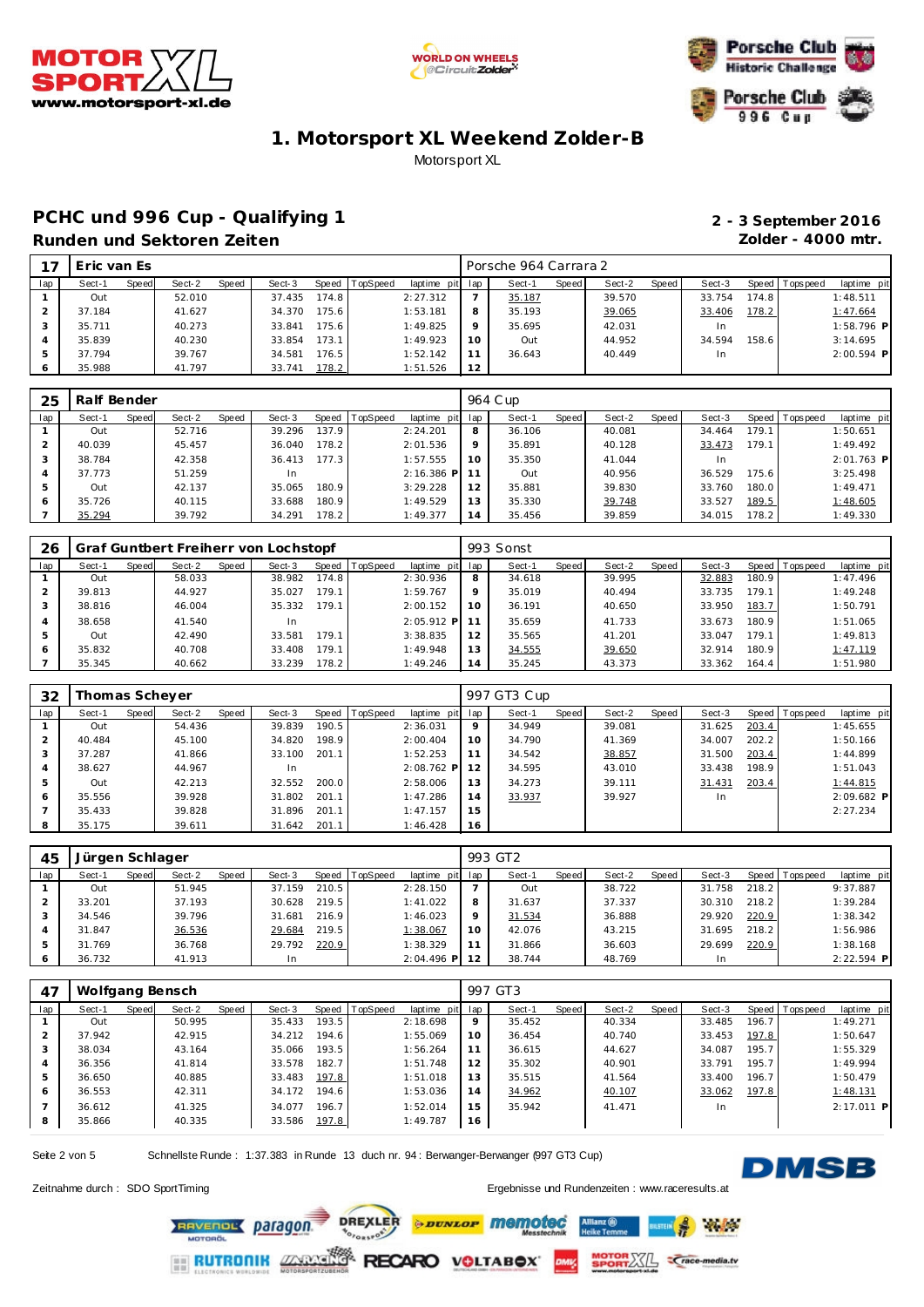





## PCHC und 996 Cup - Qualifying 1 **2 - 3 September 2016 Runden und Sektoren Zeiten Zolder - 4000 mtr.**

| 17            | Eric van Es |       |        |       |        |       |                |                 |         | Porsche 964 Carrara 2 |         |        |       |        |       |                |              |
|---------------|-------------|-------|--------|-------|--------|-------|----------------|-----------------|---------|-----------------------|---------|--------|-------|--------|-------|----------------|--------------|
| lap           | Sect-1      | Speed | Sect-2 | Speed | Sect-3 |       | Speed TopSpeed | laptime pit lap |         | Sect-1                | Speed I | Sect-2 | Speed | Sect-3 |       | Speed Topspeed | laptime pit  |
|               | Out         |       | 52.010 |       | 37.435 | 174.8 |                | 2:27.312        |         | 35.187                |         | 39.570 |       | 33.754 | 174.8 |                | 1:48.511     |
| $\sim$        | 37.184      |       | 41.627 |       | 34.370 | 175.6 |                | 1:53.181        | 8       | 35.193                |         | 39.065 |       | 33.406 | 178.2 |                | 1:47.664     |
| 3             | 35.711      |       | 40.273 |       | 33.841 | 175.6 |                | 1:49.825        | $\circ$ | 35.695                |         | 42.031 |       | In.    |       |                | 1:58.796 P   |
| 4             | 35.839      |       | 40.230 |       | 33.854 | 173.1 |                | 1:49.923        | 10      | Out                   |         | 44.952 |       | 34.594 | 158.6 |                | 3:14.695     |
| $\mathcal{D}$ | 37.794      |       | 39.767 |       | 34.581 | 176.5 |                | 1:52.142        |         | 36.643                |         | 40.449 |       | In     |       |                | $2:00.594$ P |
| <sup>6</sup>  | 35.988      |       | 41.797 |       | 33.741 | 178.2 |                | 1:51.526        | 12      |                       |         |        |       |        |       |                |              |

| 25  | Ralf Bender |       |        |       |        |        |                |                 |         | 964 C up |         |        |       |        |        |                 |              |
|-----|-------------|-------|--------|-------|--------|--------|----------------|-----------------|---------|----------|---------|--------|-------|--------|--------|-----------------|--------------|
| lap | Sect-1      | Speed | Sect-2 | Speed | Sect-3 |        | Speed TopSpeed | laptime pit lap |         | Sect-1   | Speed I | Sect-2 | Speed | Sect-3 |        | Speed Tops peed | laptime pit  |
|     | Out         |       | 52.716 |       | 39.296 | 137.9  |                | 2:24.201        | 8       | 36.106   |         | 40.081 |       | 34.464 | 179.1  |                 | 1:50.651     |
|     | 40.039      |       | 45.457 |       | 36.040 | 178.2  |                | 2:01.536        | $\circ$ | 35.891   |         | 40.128 |       | 33.473 | 179.1  |                 | 1:49.492     |
|     | 38.784      |       | 42.358 |       | 36.413 | 177.31 |                | 1:57.555        | 10      | 35.350   |         | 41.044 |       | In.    |        |                 | $2:01.763$ P |
|     | 37.773      |       | 51.259 |       | 1n     |        |                | $2:16.386$ P    |         | Out      |         | 40.956 |       | 36.529 | 175.61 |                 | 3:25.498     |
| 5   | Out         |       | 42.137 |       | 35.065 | 180.9  |                | 3:29.228        | 12      | 35.881   |         | 39.830 |       | 33.760 | 180.0  |                 | 1:49.471     |
| 6   | 35.726      |       | 40.115 |       | 33.688 | 180.9  |                | 1:49.529        | 13      | 35.330   |         | 39.748 |       | 33.527 | 189.5  |                 | 1:48.605     |
|     | 35.294      |       | 39.792 |       | 34.291 | 178.2  |                | 1:49.377        | 14      | 35.456   |         | 39.859 |       | 34.015 | 178.2  |                 | 1:49.330     |

| 26  |        |       |        |       | Graf Guntbert Freiherr von Lochstopf |       |                |              |         | 993 Sonst |              |        |       |        |       |                   |             |
|-----|--------|-------|--------|-------|--------------------------------------|-------|----------------|--------------|---------|-----------|--------------|--------|-------|--------|-------|-------------------|-------------|
| lap | Sect-1 | Speed | Sect-2 | Speed | Sect-3                               |       | Speed TopSpeed | laptime pit  | lap     | Sect-1    | <b>Speed</b> | Sect-2 | Speed | Sect-3 |       | Speed   Tops peed | laptime pit |
|     | Out    |       | 58.033 |       | 38.982                               | 174.8 |                | 2:30.936     | 8       | 34.618    |              | 39.995 |       | 32.883 | 180.9 |                   | 1:47.496    |
|     | 39.813 |       | 44.927 |       | 35.027                               | 179.1 |                | 1:59.767     | $\circ$ | 35.019    |              | 40.494 |       | 33.735 | 179.1 |                   | 1:49.248    |
|     | 38.816 |       | 46.004 |       | 35.332                               | 179.1 |                | 2:00.152     | 10      | 36.191    |              | 40.650 |       | 33.950 | 183.7 |                   | 1:50.791    |
|     | 38.658 |       | 41.540 |       | <b>In</b>                            |       |                | $2:05.912$ P |         | 35.659    |              | 41.733 |       | 33.673 | 180.9 |                   | 1:51.065    |
| 5   | Out    |       | 42.490 |       | 33.581                               | 179.1 |                | 3:38.835     | 12      | 35.565    |              | 41.201 |       | 33.047 | 179.1 |                   | 1:49.813    |
| 6   | 35.832 |       | 40.708 |       | 33.408                               | 179.1 |                | 1:49.948     | 13      | 34.555    |              | 39.650 |       | 32.914 | 180.9 |                   | 1:47.119    |
|     | 35.345 |       | 40.662 |       | 33.239                               | 178.2 |                | 1:49.246     | 14      | 35.245    |              | 43.373 |       | 33.362 | 164.4 |                   | 1:51.980    |

| 32  | Thomas Scheyer |       |        |       |        |       |                |              |               | 997 GT3 Cup |       |        |       |        |       |                |              |
|-----|----------------|-------|--------|-------|--------|-------|----------------|--------------|---------------|-------------|-------|--------|-------|--------|-------|----------------|--------------|
| lap | Sect-1         | Speed | Sect-2 | Speed | Sect-3 |       | Speed TopSpeed | laptime pit  | lap           | Sect-1      | Speed | Sect-2 | Speed | Sect-3 |       | Speed Topspeed | laptime pit  |
|     | Out            |       | 54.436 |       | 39.839 | 190.5 |                | 2:36.031     | 9             | 34.949      |       | 39.081 |       | 31.625 | 203.4 |                | 1:45.655     |
|     | 40.484         |       | 45.100 |       | 34.820 | 198.9 |                | 2:00.404     | 10            | 34.790      |       | 41.369 |       | 34.007 | 202.2 |                | 1:50.166     |
|     | 37.287         |       | 41.866 |       | 33.100 | 201.1 |                | 1:52.253     | 11            | 34.542      |       | 38.857 |       | 31.500 | 203.4 |                | 1:44.899     |
| 4   | 38.627         |       | 44.967 |       | In     |       |                | $2:08.762$ P | $\mathcal{P}$ | 34.595      |       | 43.010 |       | 33.438 | 198.9 |                | 1:51.043     |
| 5   | Out            |       | 42.213 |       | 32.552 | 200.0 |                | 2:58.006     | 13            | 34.273      |       | 39.111 |       | 31.431 | 203.4 |                | 1:44.815     |
| 6   | 35.556         |       | 39.928 |       | 31.802 | 201.1 |                | 1:47.286     | 14            | 33.937      |       | 39.927 |       | In.    |       |                | $2:09.682$ P |
|     | 35.433         |       | 39.828 |       | 31.896 | 201.1 |                | 1:47.157     | 15            |             |       |        |       |        |       |                | 2:27.234     |
| 8   | 35.175         |       | 39.611 |       | 31.642 | 201.1 |                | 1:46.428     | 16            |             |       |        |       |        |       |                |              |

| 45  | Jürgen Schlager |       |        |       |        |       |                |                 |         | 993 GT2 |              |        |       |        |       |                |              |
|-----|-----------------|-------|--------|-------|--------|-------|----------------|-----------------|---------|---------|--------------|--------|-------|--------|-------|----------------|--------------|
| lap | Sect-1          | Speed | Sect-2 | Speed | Sect-3 |       | Speed TopSpeed | laptime pit lap |         | Sect-1  | <b>Speed</b> | Sect-2 | Speed | Sect-3 |       | Speed Topspeed | laptime pit  |
|     | Out             |       | 51.945 |       | 37.159 | 210.5 |                | 2:28.150        |         | Out     |              | 38.722 |       | 31.758 | 218.2 |                | 9:37.887     |
|     | 33.201          |       | 37.193 |       | 30.628 | 219.5 |                | 1:41.022        | 8       | 31.637  |              | 37.337 |       | 30.310 | 218.2 |                | 1:39.284     |
|     | 34.546          |       | 39.796 |       | 31.681 | 216.9 |                | 1:46.023        | $\circ$ | 31.534  |              | 36.888 |       | 29.920 | 220.9 |                | 1:38.342     |
|     | 31.847          |       | 36.536 |       | 29.684 | 219.5 |                | 1:38.067        | 10      | 42.076  |              | 43.215 |       | 31.695 | 218.2 |                | 1:56.986     |
|     | 31.769          |       | 36.768 |       | 29.792 | 220.9 |                | 1:38.329        |         | 31.866  |              | 36.603 |       | 29.699 | 220.9 |                | 1:38.168     |
|     | 36.732          |       | 41.913 |       | In.    |       |                | $2:04.496$ P    |         | 38.744  |              | 48.769 |       |        |       |                | $2:22.594$ P |

| 47  | Wolfgang Bensch |       |        |       |        |       |                |             |     | 997 GT3 |       |        |       |        |       |                |             |
|-----|-----------------|-------|--------|-------|--------|-------|----------------|-------------|-----|---------|-------|--------|-------|--------|-------|----------------|-------------|
| lap | Sect-1          | Speed | Sect-2 | Speed | Sect-3 |       | Speed TopSpeed | laptime pit | lap | Sect-1  | Speed | Sect-2 | Speed | Sect-3 |       | Speed Topspeed | laptime pit |
|     | Out             |       | 50.995 |       | 35.433 | 193.5 |                | 2:18.698    | 9   | 35.452  |       | 40.334 |       | 33.485 | 196.7 |                | 1:49.271    |
|     | 37.942          |       | 42.915 |       | 34.212 | 194.6 |                | 1:55.069    | 10  | 36.454  |       | 40.740 |       | 33.453 | 197.8 |                | 1:50.647    |
| 3   | 38.034          |       | 43.164 |       | 35.066 | 193.5 |                | 1:56.264    | 11  | 36.615  |       | 44.627 |       | 34.087 | 195.7 |                | 1:55.329    |
| 4   | 36.356          |       | 41.814 |       | 33.578 | 182.7 |                | 1:51.748    | 12  | 35.302  |       | 40.901 |       | 33.791 | 195.7 |                | 1:49.994    |
| 5   | 36.650          |       | 40.885 |       | 33.483 | 197.8 |                | 1:51.018    | 13  | 35.515  |       | 41.564 |       | 33.400 | 196.7 |                | 1:50.479    |
| 6   | 36.553          |       | 42.311 |       | 34.172 | 194.6 |                | 1:53.036    | 14  | 34.962  |       | 40.107 |       | 33.062 | 197.8 |                | 1:48.131    |
|     | 36.612          |       | 41.325 |       | 34.077 | 196.7 |                | 1:52.014    | 15  | 35.942  |       | 41.471 |       | In     |       |                | 2:17.011 P  |
| 8   | 35.866          |       | 40.335 |       | 33.586 | 197.8 |                | 1:49.787    | 16  |         |       |        |       |        |       |                |             |

*<u>DUNLOF</u>* memoted

RECARO VOLTABOX

Seite 2 von 5 Schnellste Runde : 1:37.383 in Runde 13 duch nr. 94 : Berwanger-Berwanger (997 GT3 Cup)

**DREXLER** 

OFORSPORT



**Refine** 

**Crace-media.tv** 

Zeitnahme durch : SDO SportTiming et al. et al. et al. et al. et al. et al. et al. et al. et al. et al. et al. et al. et al. et al. et al. et al. et al. et al. et al. et al. et al. et al. et al. et al. et al. et al. et al.

3Ŀ

**RAVENOL Daragon** 

**RUTRONIK 2253** 

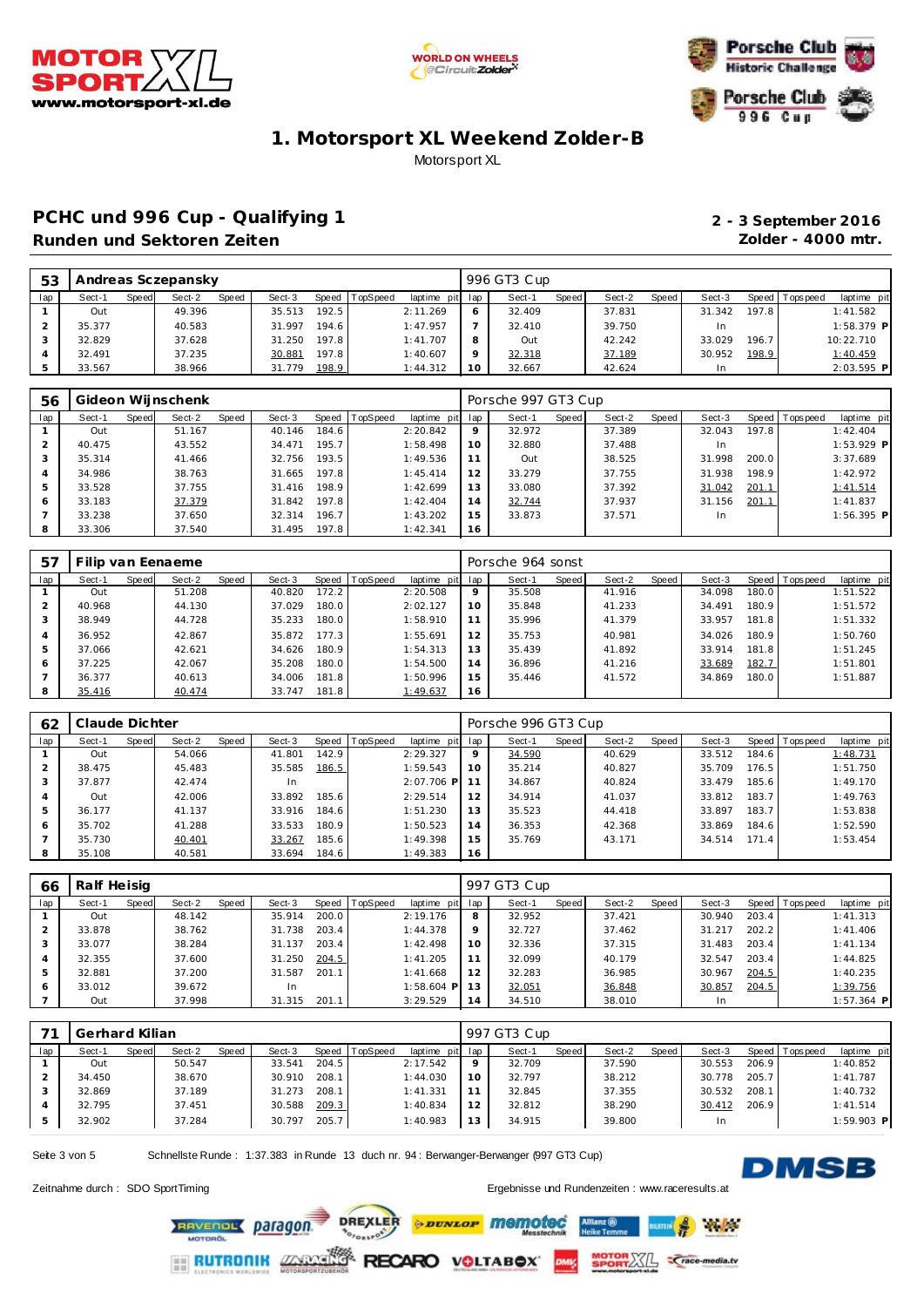





### PCHC und 996 Cup - Qualifying 1 **2 - 3 September 2016 Runden und Sektoren Zeiten Zolder - 4000 mtr.**

| 53  |        |       | Andreas Sczepansky |       |        |       |                |                 |    | 996 GT3 Cup |              |        |       |        |       |                |              |
|-----|--------|-------|--------------------|-------|--------|-------|----------------|-----------------|----|-------------|--------------|--------|-------|--------|-------|----------------|--------------|
| lap | Sect-1 | Speed | Sect-2             | Speed | Sect-3 |       | Speed TopSpeed | laptime pit lap |    | Sect-1      | <b>Speed</b> | Sect-2 | Speed | Sect-3 |       | Speed Topspeed | laptime pit  |
|     | Out    |       | 49.396             |       | 35.513 | 192.5 |                | 2:11.269        | 6  | 32.409      |              | 37.831 |       | 31.342 | 197.8 |                | 1:41.582     |
|     | 35.377 |       | 40.583             |       | 31.997 | 194.6 |                | 1:47.957        |    | 32.410      |              | 39.750 |       | In.    |       |                | $1:58.379$ P |
|     | 32.829 |       | 37.628             |       | 31.250 | 197.8 |                | 1:41.707        | 8  | Out         |              | 42.242 |       | 33.029 | 196.7 |                | 10:22.710    |
|     | 32.491 |       | 37.235             |       | 30.881 | 197.8 |                | 1:40.607        | Q  | 32.318      |              | 37.189 |       | 30.952 | 198.9 |                | 1:40.459     |
|     | 33.567 |       | 38.966             |       | 31.779 | 198.9 |                | 1:44.312        | 10 | 32.667      |              | 42.624 |       | In     |       |                | 2:03.595 P   |

| 56  |        |       | Gideon Wijnschenk |       |        |       |                |                 |         | Porsche 997 GT3 Cup |       |        |       |        |       |                 |              |
|-----|--------|-------|-------------------|-------|--------|-------|----------------|-----------------|---------|---------------------|-------|--------|-------|--------|-------|-----------------|--------------|
| lap | Sect-1 | Speed | Sect-2            | Speed | Sect-3 |       | Speed TopSpeed | laptime pit lap |         | Sect-1              | Speed | Sect-2 | Speed | Sect-3 |       | Speed Tops peed | laptime pit  |
|     | Out    |       | 51.167            |       | 40.146 | 184.6 |                | 2:20.842        | $\circ$ | 32.972              |       | 37.389 |       | 32.043 | 197.8 |                 | 1:42.404     |
|     | 40.475 |       | 43.552            |       | 34.471 | 195.7 |                | 1:58.498        | 10      | 32.880              |       | 37.488 |       | In     |       |                 | 1:53.929 P   |
| 3   | 35.314 |       | 41.466            |       | 32.756 | 193.5 |                | 1:49.536        |         | Out                 |       | 38.525 |       | 31.998 | 200.0 |                 | 3:37.689     |
| 4   | 34.986 |       | 38.763            |       | 31.665 | 197.8 |                | 1:45.414        | 12      | 33.279              |       | 37.755 |       | 31.938 | 198.9 |                 | 1:42.972     |
| 5   | 33.528 |       | 37.755            |       | 31.416 | 198.9 |                | 1:42.699        | 13      | 33.080              |       | 37.392 |       | 31.042 | 201.1 |                 | 1:41.514     |
| 6   | 33.183 |       | 37.379            |       | 31.842 | 197.8 |                | 1:42.404        | 14      | 32.744              |       | 37.937 |       | 31.156 | 201.1 |                 | 1:41.837     |
|     | 33.238 |       | 37.650            |       | 32.314 | 196.7 |                | 1:43.202        | 15      | 33.873              |       | 37.571 |       | In.    |       |                 | $1:56.395$ P |
| 8   | 33.306 |       | 37.540            |       | 31.495 | 197.8 |                | 1:42.341        | 16      |                     |       |        |       |        |       |                 |              |

| 57             |        |       | Filip van Eenaeme |       |        |       |                |             |     | Porsche 964 sonst |       |        |       |        |       |                 |             |
|----------------|--------|-------|-------------------|-------|--------|-------|----------------|-------------|-----|-------------------|-------|--------|-------|--------|-------|-----------------|-------------|
| lap            | Sect-1 | Speed | Sect-2            | Speed | Sect-3 |       | Speed TopSpeed | laptime pit | lap | Sect-1            | Speed | Sect-2 | Speed | Sect-3 |       | Speed Tops peed | laptime pit |
|                | Out    |       | 51.208            |       | 40.820 | 172.2 |                | 2:20.508    | 9   | 35.508            |       | 41.916 |       | 34.098 | 180.0 |                 | 1:51.522    |
|                | 40.968 |       | 44.130            |       | 37.029 | 180.0 |                | 2:02.127    | 10  | 35.848            |       | 41.233 |       | 34.491 | 180.9 |                 | 1:51.572    |
| 3              | 38.949 |       | 44.728            |       | 35.233 | 180.0 |                | 1:58.910    | 11  | 35.996            |       | 41.379 |       | 33.957 | 181.8 |                 | 1:51.332    |
| $\overline{4}$ | 36.952 |       | 42.867            |       | 35.872 | 177.3 |                | 1:55.691    | 12  | 35.753            |       | 40.981 |       | 34.026 | 180.9 |                 | 1:50.760    |
| 5              | 37.066 |       | 42.621            |       | 34.626 | 180.9 |                | 1:54.313    | 13  | 35.439            |       | 41.892 |       | 33.914 | 181.8 |                 | 1:51.245    |
| 6              | 37.225 |       | 42.067            |       | 35.208 | 180.0 |                | 1:54.500    | 14  | 36.896            |       | 41.216 |       | 33.689 | 182.7 |                 | 1:51.801    |
|                | 36.377 |       | 40.613            |       | 34.006 | 181.8 |                | 1:50.996    | 15  | 35.446            |       | 41.572 |       | 34.869 | 180.0 |                 | 1:51.887    |
| 8              | 35.416 |       | 40.474            |       | 33.747 | 181.8 |                | 1:49.637    | 16  |                   |       |        |       |        |       |                 |             |

| 62  | Claude Dichter |       |        |       |           |                    |                  |                 |    | Porsche 996 GT3 Cup |       |        |       |        |       |                 |             |
|-----|----------------|-------|--------|-------|-----------|--------------------|------------------|-----------------|----|---------------------|-------|--------|-------|--------|-------|-----------------|-------------|
| lap | Sect-1         | Speed | Sect-2 | Speed | Sect-3    |                    | Speed   TopSpeed | laptime pit lap |    | Sect-1              | Speed | Sect-2 | Speed | Sect-3 |       | Speed Tops peed | laptime pit |
|     | Out            |       | 54.066 |       | 41.801    | 142.9              |                  | 2:29.327        | 9  | 34.590              |       | 40.629 |       | 33.512 | 184.6 |                 | 1:48.731    |
|     | 38.475         |       | 45.483 |       | 35.585    | 186.5              |                  | 1:59.543        | 10 | 35.214              |       | 40.827 |       | 35.709 | 176.5 |                 | 1:51.750    |
| 3   | 37.877         |       | 42.474 |       | <b>In</b> |                    |                  | $2:07.706$ P    |    | 34.867              |       | 40.824 |       | 33.479 | 185.6 |                 | 1:49.170    |
| 4   | Out            |       | 42.006 |       | 33.892    | 185.6              |                  | 2:29.514        | 12 | 34.914              |       | 41.037 |       | 33.812 | 183.7 |                 | 1:49.763    |
| 5   | 36.177         |       | 41.137 |       | 33.916    | 184.6              |                  | 1:51.230        | 13 | 35.523              |       | 44.418 |       | 33.897 | 183.7 |                 | 1:53.838    |
| 6   | 35.702         |       | 41.288 |       | 33.533    | 180.9              |                  | 1:50.523        | 14 | 36.353              |       | 42.368 |       | 33.869 | 184.6 |                 | 1:52.590    |
|     | 35.730         |       | 40.401 |       | 33.267    | 185.6              |                  | 1:49.398        | 15 | 35.769              |       | 43.171 |       | 34.514 | 171.4 |                 | 1:53.454    |
| 8   | 35.108         |       | 40.581 |       | 33.694    | 184.6 <sub>1</sub> |                  | 1:49.383        | 16 |                     |       |        |       |        |       |                 |             |

| 66  | Ralf Heisig |       |        |       |        |       |                |                 |         | 997 GT3 Cup |       |        |       |        |       |                 |              |
|-----|-------------|-------|--------|-------|--------|-------|----------------|-----------------|---------|-------------|-------|--------|-------|--------|-------|-----------------|--------------|
| lap | Sect-1      | Speed | Sect-2 | Speed | Sect-3 |       | Speed TopSpeed | laptime pit lap |         | Sect-1      | Speed | Sect-2 | Speed | Sect-3 |       | Speed Tops peed | laptime pit  |
|     | Out         |       | 48.142 |       | 35.914 | 200.0 |                | 2:19.176        | 8       | 32.952      |       | 37.421 |       | 30.940 | 203.4 |                 | 1:41.313     |
|     | 33.878      |       | 38.762 |       | 31.738 | 203.4 |                | 1:44.378        | $\circ$ | 32.727      |       | 37.462 |       | 31.217 | 202.2 |                 | 1:41.406     |
|     | 33.077      |       | 38.284 |       | 31.137 | 203.4 |                | 1:42.498        | 10      | 32.336      |       | 37.315 |       | 31.483 | 203.4 |                 | 1:41.134     |
|     | 32.355      |       | 37.600 |       | 31.250 | 204.5 |                | 1:41.205        |         | 32.099      |       | 40.179 |       | 32.547 | 203.4 |                 | 1:44.825     |
| 5   | 32.881      |       | 37.200 |       | 31.587 | 201.1 |                | 1:41.668        | 12      | 32.283      |       | 36.985 |       | 30.967 | 204.5 |                 | 1:40.235     |
| 6   | 33.012      |       | 39.672 |       | In     |       |                | $1:58.604$ P    |         | 32.051      |       | 36.848 |       | 30.857 | 204.5 |                 | 1:39.756     |
|     | Out         |       | 37.998 |       | 31.315 | 201.1 |                | 3:29.529        | 14      | 34.510      |       | 38.010 |       |        |       |                 | $1:57.364$ P |

|     | Gerhard Kilian |       |        |       |        |       |                |                 |    | 997 GT3 Cup |       |        |       |        |       |                |              |
|-----|----------------|-------|--------|-------|--------|-------|----------------|-----------------|----|-------------|-------|--------|-------|--------|-------|----------------|--------------|
| lap | Sect-1         | Speed | Sect-2 | Speed | Sect-3 |       | Speed TopSpeed | laptime pit lap |    | Sect-1      | Speed | Sect-2 | Speed | Sect-3 |       | Speed Topspeed | laptime pit  |
|     | Out            |       | 50.547 |       | 33.541 | 204.5 |                | 2:17.542        |    | 32.709      |       | 37.590 |       | 30.553 | 206.9 |                | 1:40.852     |
|     | 34.450         |       | 38.670 |       | 30.910 | 208.1 |                | 1:44.030        | 10 | 32.797      |       | 38.212 |       | 30.778 | 205.7 |                | 1:41.787     |
|     | 32.869         |       | 37.189 |       | 31.273 | 208.1 |                | 1: 41.331       |    | 32.845      |       | 37.355 |       | 30.532 | 208.1 |                | 1:40.732     |
|     | 32.795         |       | 37.451 |       | 30.588 | 209.3 |                | 1:40.834        |    | 32.812      |       | 38.290 |       | 30.412 | 206.9 |                | 1:41.514     |
|     | 32.902         |       | 37.284 |       | 30.797 | 205.7 |                | 1:40.983        | 13 | 34.915      |       | 39.800 |       | In     |       |                | $1:59.903$ P |

*<u>PROVED Memoted</u>* 

RECARO VOLTABOX

Seite 3 von 5 Schnellste Runde : 1:37.383 in Runde 13 duch nr. 94 : Berwanger-Berwanger (997 GT3 Cup)

**DREXLER** 

OFORSPORT



 $A$ 

*<u>Crace-media.tv</u>* 

Zeitnahme durch : SDO SportTiming Ergebnisse und Rundenzeiten : [www.raceresults.a](www.raceresults.at)t

 $\frac{1}{2}$ 

RAVENOL Daragon.

**RUTRONIK ZXXX**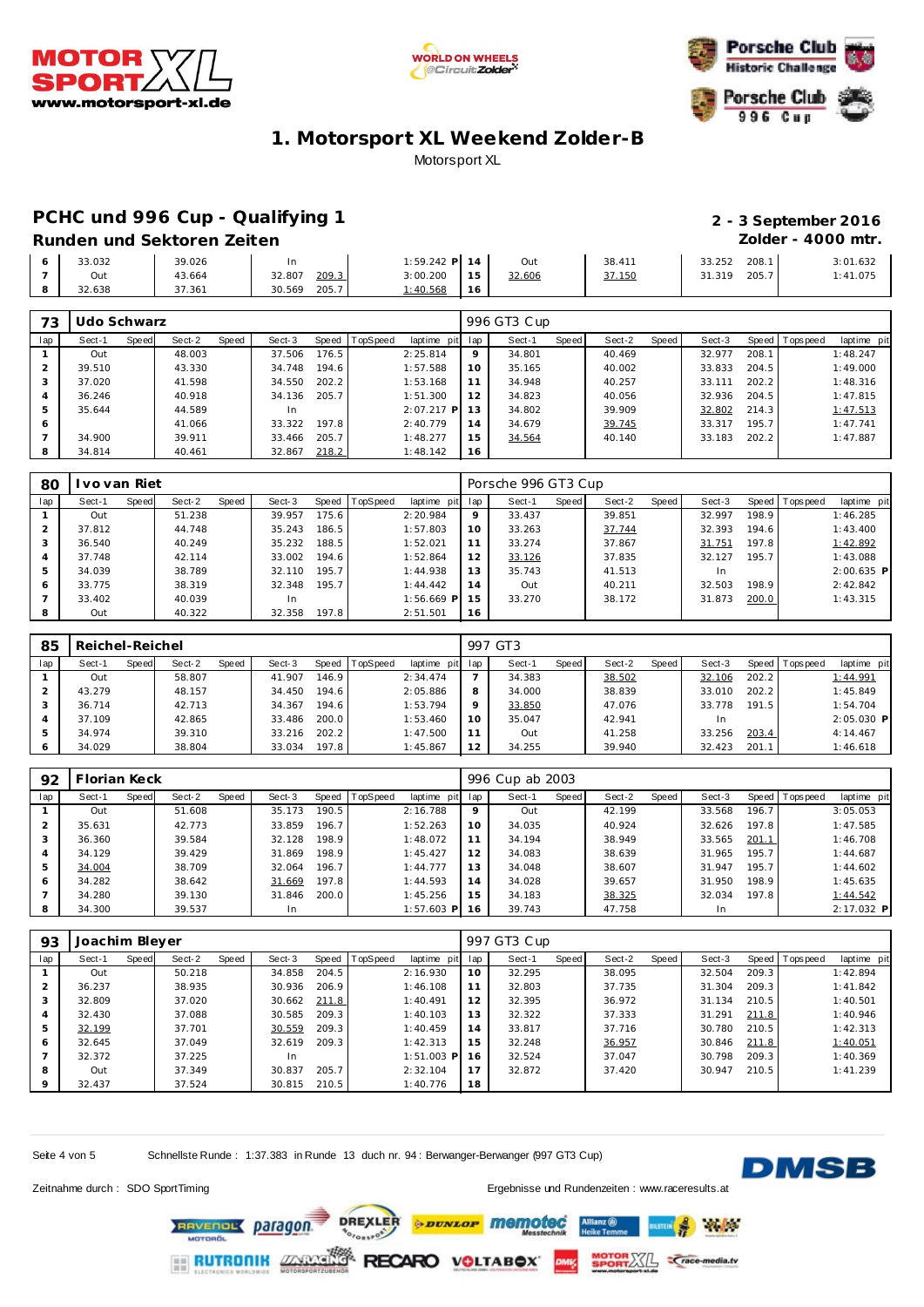





### PCHC und 996 Cup - Qualifying 1 **2 - 3 September 2016**

# **Runden und Sektoren Zeiten Zolder - 4000 mtr.**

**1:01.632**<br>1:41.075

|  | 33.032 | 39.026 |                 | 1:59.242 P 14 |               | Out    | 38.411 | 208.<br>33.252 | :01.632  |
|--|--------|--------|-----------------|---------------|---------------|--------|--------|----------------|----------|
|  | Out    | 43.664 | 209.3<br>32.80  | 3:00.200      | $\sim$ $\sim$ | 32.606 | 37.150 | 205.<br>1.319ء | : 41.075 |
|  | 32.638 | 7.361  | 205.7<br>30.569 | : 40.568      |               |        |        |                |          |

| 73  | Udo Schwarz |       |        |       |        |       |          |                 |         | 996 GT3 Cup |       |        |       |        |       |                 |             |
|-----|-------------|-------|--------|-------|--------|-------|----------|-----------------|---------|-------------|-------|--------|-------|--------|-------|-----------------|-------------|
| lap | Sect-1      | Speed | Sect-2 | Speed | Sect-3 | Speed | TopSpeed | laptime pit lap |         | Sect-1      | Speed | Sect-2 | Speed | Sect-3 |       | Speed Tops peed | laptime pit |
|     | Out         |       | 48.003 |       | 37.506 | 176.5 |          | 2:25.814        | $\circ$ | 34.801      |       | 40.469 |       | 32.977 | 208.1 |                 | 1:48.247    |
|     | 39.510      |       | 43.330 |       | 34.748 | 194.6 |          | 1:57.588        | 10      | 35.165      |       | 40.002 |       | 33.833 | 204.5 |                 | 1:49.000    |
|     | 37.020      |       | 41.598 |       | 34.550 | 202.2 |          | 1:53.168        | 11      | 34.948      |       | 40.257 |       | 33.111 | 202.2 |                 | 1:48.316    |
|     | 36.246      |       | 40.918 |       | 34.136 | 205.7 |          | 1:51.300        | 12      | 34.823      |       | 40.056 |       | 32.936 | 204.5 |                 | 1:47.815    |
|     | 35.644      |       | 44.589 |       | In.    |       |          | $2:07.217$ P 13 |         | 34.802      |       | 39.909 |       | 32.802 | 214.3 |                 | 1:47.513    |
| 6   |             |       | 41.066 |       | 33.322 | 197.8 |          | 2:40.779        | 14      | 34.679      |       | 39.745 |       | 33.317 | 195.7 |                 | 1:47.741    |
|     | 34.900      |       | 39.911 |       | 33.466 | 205.7 |          | 1:48.277        | 15      | 34.564      |       | 40.140 |       | 33.183 | 202.2 |                 | 1:47.887    |
| 8   | 34.814      |       | 40.461 |       | 32.867 | 218.2 |          | 1:48.142        | 16      |             |       |        |       |        |       |                 |             |

| 80  | I vo van Riet |       |        |       |        |       |                 |             |     | Porsche 996 GT3 Cup |       |        |       |        |       |                 |              |
|-----|---------------|-------|--------|-------|--------|-------|-----------------|-------------|-----|---------------------|-------|--------|-------|--------|-------|-----------------|--------------|
| lap | Sect-1        | Speed | Sect-2 | Speed | Sect-3 | Speed | <b>TopSpeed</b> | laptime pit | lap | Sect-1              | Speed | Sect-2 | Speed | Sect-3 |       | Speed Tops peed | laptime pit  |
|     | Out           |       | 51.238 |       | 39.957 | 175.6 |                 | 2:20.984    | 9   | 33.437              |       | 39.851 |       | 32.997 | 198.9 |                 | 1:46.285     |
|     | 37.812        |       | 44.748 |       | 35.243 | 186.5 |                 | 1:57.803    | 10  | 33.263              |       | 37.744 |       | 32.393 | 194.6 |                 | 1:43.400     |
|     | 36.540        |       | 40.249 |       | 35.232 | 188.5 |                 | 1:52.021    | 11  | 33.274              |       | 37.867 |       | 31.751 | 197.8 |                 | 1:42.892     |
|     | 37.748        |       | 42.114 |       | 33.002 | 194.6 |                 | 1:52.864    | 12  | 33.126              |       | 37.835 |       | 32.127 | 195.7 |                 | 1:43.088     |
|     | 34.039        |       | 38.789 |       | 32.110 | 195.7 |                 | 1:44.938    | 13  | 35.743              |       | 41.513 |       | In     |       |                 | $2:00.635$ P |
| 6   | 33.775        |       | 38.319 |       | 32.348 | 195.7 |                 | 1:44.442    | 14  | Out                 |       | 40.211 |       | 32.503 | 198.9 |                 | 2:42.842     |
|     | 33.402        |       | 40.039 |       | In     |       |                 | 1:56.669 P  | 15  | 33.270              |       | 38.172 |       | 31.873 | 200.0 |                 | 1:43.315     |
|     | Out           |       | 40.322 |       | 32.358 | 197.8 |                 | 2:51.501    | 16  |                     |       |        |       |        |       |                 |              |

| 85  | Reichel-Reichel |       |        |       |        |                    |                  |             |         | 997 GT3 |       |        |       |        |       |           |              |
|-----|-----------------|-------|--------|-------|--------|--------------------|------------------|-------------|---------|---------|-------|--------|-------|--------|-------|-----------|--------------|
| lap | Sect-1          | Speed | Sect-2 | Speed | Sect-3 |                    | Speed   TopSpeed | laptime pit | lap     | Sect-1  | Speed | Sect-2 | Speed | Sect-3 | Speed | Tops peed | laptime pit  |
|     | Out             |       | 58.807 |       | 41.907 | 146.9              |                  | 2:34.474    |         | 34.383  |       | 38.502 |       | 32.106 | 202.2 |           | 1:44.991     |
|     | 43.279          |       | 48.157 |       | 34.450 | 194.6 <sub>1</sub> |                  | 2:05.886    | 8       | 34.000  |       | 38.839 |       | 33.010 | 202.2 |           | 1:45.849     |
|     | 36.714          |       | 42.713 |       | 34.367 | 194.6 <sub>1</sub> |                  | 1:53.794    | $\circ$ | 33.850  |       | 47.076 |       | 33.778 | 191.5 |           | 1:54.704     |
|     | 37.109          |       | 42.865 |       | 33.486 | 200.0              |                  | 1:53.460    | 10      | 35.047  |       | 42.941 |       | -In    |       |           | $2:05.030$ P |
|     | 34.974          |       | 39.310 |       | 33.216 | 202.2              |                  | 1:47.500    | 11      | Out     |       | 41.258 |       | 33.256 | 203.4 |           | 4:14.467     |
| 6   | 34.029          |       | 38.804 |       | 33.034 | 197.8              |                  | 1:45.867    | 12      | 34.255  |       | 39.940 |       | 32.423 | 201.1 |           | 1:46.618     |

| 92  | Florian Keck |       |        |       |        |       |                 |             |     | 996 Cup ab 2003 |       |        |       |        |        |                 |             |
|-----|--------------|-------|--------|-------|--------|-------|-----------------|-------------|-----|-----------------|-------|--------|-------|--------|--------|-----------------|-------------|
| lap | Sect-1       | Speed | Sect-2 | Speed | Sect-3 | Speed | <b>TopSpeed</b> | laptime pit | lap | Sect-1          | Speed | Sect-2 | Speed | Sect-3 |        | Speed Tops peed | laptime pit |
|     | Out          |       | 51.608 |       | 35.173 | 190.5 |                 | 2:16.788    | 9   | Out             |       | 42.199 |       | 33.568 | 196.7  |                 | 3:05.053    |
|     | 35.631       |       | 42.773 |       | 33.859 | 196.7 |                 | 1:52.263    | 10  | 34.035          |       | 40.924 |       | 32.626 | 197.81 |                 | 1:47.585    |
|     | 36.360       |       | 39.584 |       | 32.128 | 198.9 |                 | 1:48.072    | 11  | 34.194          |       | 38.949 |       | 33.565 | 201.1  |                 | 1:46.708    |
|     | 34.129       |       | 39.429 |       | 31.869 | 198.9 |                 | 1:45.427    | 12  | 34.083          |       | 38.639 |       | 31.965 | 195.7  |                 | 1:44.687    |
|     | 34.004       |       | 38.709 |       | 32.064 | 196.7 |                 | 1:44.777    | 13  | 34.048          |       | 38.607 |       | 31.947 | 195.7  |                 | 1:44.602    |
| 6   | 34.282       |       | 38.642 |       | 31.669 | 197.8 |                 | 1:44.593    | 14  | 34.028          |       | 39.657 |       | 31.950 | 198.9  |                 | 1:45.635    |
|     | 34.280       |       | 39.130 |       | 31.846 | 200.0 |                 | 1:45.256    | 15  | 34.183          |       | 38.325 |       | 32.034 | 197.8  |                 | 1:44.542    |
|     | 34.300       |       | 39.537 |       | In     |       |                 | 1:57.603 P  | 16  | 39.743          |       | 47.758 |       | In.    |        |                 | 2:17.032 P  |

| 93  | Joachim Bleyer |       |        |       |        |       |          |                 |     | 997 GT3 Cup |       |        |       |        |       |                |             |
|-----|----------------|-------|--------|-------|--------|-------|----------|-----------------|-----|-------------|-------|--------|-------|--------|-------|----------------|-------------|
| lap | Sect-1         | Speed | Sect-2 | Speed | Sect-3 | Speed | TopSpeed | laptime pit     | lap | Sect-1      | Speed | Sect-2 | Speed | Sect-3 |       | Speed Topspeed | laptime pit |
|     | Out            |       | 50.218 |       | 34.858 | 204.5 |          | 2:16.930        | 10  | 32.295      |       | 38.095 |       | 32.504 | 209.3 |                | 1:42.894    |
|     | 36.237         |       | 38.935 |       | 30.936 | 206.9 |          | 1:46.108        | 11  | 32.803      |       | 37.735 |       | 31.304 | 209.3 |                | 1:41.842    |
|     | 32.809         |       | 37.020 |       | 30.662 | 211.8 |          | 1:40.491        | 12  | 32.395      |       | 36.972 |       | 31.134 | 210.5 |                | 1:40.501    |
|     | 32.430         |       | 37.088 |       | 30.585 | 209.3 |          | 1:40.103        | 13  | 32.322      |       | 37.333 |       | 31.291 | 211.8 |                | 1:40.946    |
|     | 32.199         |       | 37.701 |       | 30.559 | 209.3 |          | 1:40.459        | 14  | 33.817      |       | 37.716 |       | 30.780 | 210.5 |                | 1:42.313    |
| 6   | 32.645         |       | 37.049 |       | 32.619 | 209.3 |          | 1:42.313        | 15  | 32.248      |       | 36.957 |       | 30.846 | 211.8 |                | 1:40.051    |
|     | 32.372         |       | 37.225 |       | In     |       |          | $1:51.003$ P 16 |     | 32.524      |       | 37.047 |       | 30.798 | 209.3 |                | 1:40.369    |
| 8   | Out            |       | 37.349 |       | 30.837 | 205.7 |          | 2:32.104        | 17  | 32.872      |       | 37.420 |       | 30.947 | 210.5 |                | 1:41.239    |
|     | 32.437         |       | 37.524 |       | 30.815 | 210.5 |          | 1:40.776        | 18  |             |       |        |       |        |       |                |             |

*<u>DUNLOF</u>* memoted

RECARO VOLTABOX

Seite 4 von 5 Schnellste Runde : 1:37.383 in Runde 13 duch nr. 94 : Berwanger-Berwanger (997 GT3 Cup)

**RAVENOL Daragon** 

**RUTRONIK ZARK** 

**DREXLER** 

PORSPORT



**Refine** 

**Crace-media.tv** 

Zeitnahme durch : SDO SportTiming Ergebnisse und Rundenzeiten : [www.raceresults.a](www.raceresults.at)t

3Ŀ